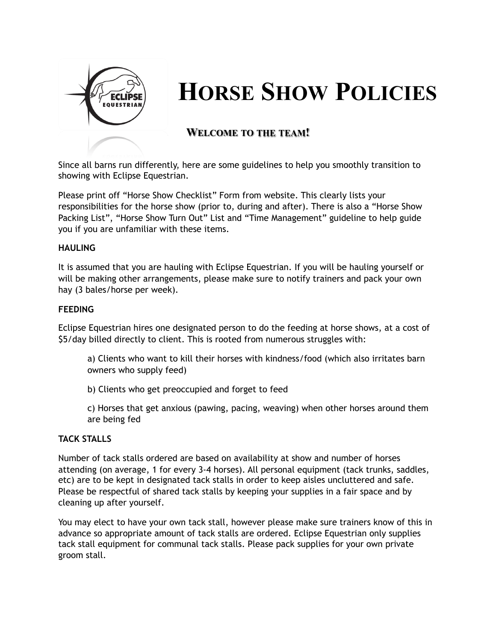

# **HORSE SHOW POLICIES**

## **WELCOME TO THE TEAM!**

Since all barns run differently, here are some guidelines to help you smoothly transition to showing with Eclipse Equestrian.

Please print off "Horse Show Checklist" Form from website. This clearly lists your responsibilities for the horse show (prior to, during and after). There is also a "Horse Show Packing List", "Horse Show Turn Out" List and "Time Management" guideline to help guide you if you are unfamiliar with these items.

#### **HAULING**

It is assumed that you are hauling with Eclipse Equestrian. If you will be hauling yourself or will be making other arrangements, please make sure to notify trainers and pack your own hay (3 bales/horse per week).

#### **FEEDING**

Eclipse Equestrian hires one designated person to do the feeding at horse shows, at a cost of \$5/day billed directly to client. This is rooted from numerous struggles with:

- a) Clients who want to kill their horses with kindness/food (which also irritates barn owners who supply feed)
- b) Clients who get preoccupied and forget to feed
- c) Horses that get anxious (pawing, pacing, weaving) when other horses around them are being fed

### **TACK STALLS**

Number of tack stalls ordered are based on availability at show and number of horses attending (on average, 1 for every 3-4 horses). All personal equipment (tack trunks, saddles, etc) are to be kept in designated tack stalls in order to keep aisles uncluttered and safe. Please be respectful of shared tack stalls by keeping your supplies in a fair space and by cleaning up after yourself.

You may elect to have your own tack stall, however please make sure trainers know of this in advance so appropriate amount of tack stalls are ordered. Eclipse Equestrian only supplies tack stall equipment for communal tack stalls. Please pack supplies for your own private groom stall.